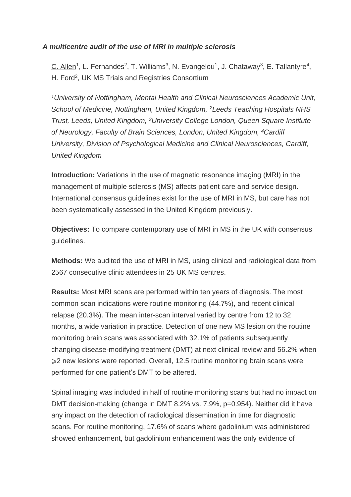## *A multicentre audit of the use of MRI in multiple sclerosis*

C. Allen<sup>1</sup>, L. Fernandes<sup>2</sup>, T. Williams<sup>3</sup>, N. Evangelou<sup>1</sup>, J. Chataway<sup>3</sup>, E. Tallantyre<sup>4</sup>, H. Ford<sup>2</sup>, UK MS Trials and Registries Consortium

*<sup>1</sup>University of Nottingham, Mental Health and Clinical Neurosciences Academic Unit, School of Medicine, Nottingham, United Kingdom, <sup>2</sup>Leeds Teaching Hospitals NHS Trust, Leeds, United Kingdom, <sup>3</sup>University College London, Queen Square Institute of Neurology, Faculty of Brain Sciences, London, United Kingdom, <sup>4</sup>Cardiff University, Division of Psychological Medicine and Clinical Neurosciences, Cardiff, United Kingdom*

**Introduction:** Variations in the use of magnetic resonance imaging (MRI) in the management of multiple sclerosis (MS) affects patient care and service design. International consensus guidelines exist for the use of MRI in MS, but care has not been systematically assessed in the United Kingdom previously.

**Objectives:** To compare contemporary use of MRI in MS in the UK with consensus guidelines.

**Methods:** We audited the use of MRI in MS, using clinical and radiological data from 2567 consecutive clinic attendees in 25 UK MS centres.

**Results:** Most MRI scans are performed within ten years of diagnosis. The most common scan indications were routine monitoring (44.7%), and recent clinical relapse (20.3%). The mean inter-scan interval varied by centre from 12 to 32 months, a wide variation in practice. Detection of one new MS lesion on the routine monitoring brain scans was associated with 32.1% of patients subsequently changing disease-modifying treatment (DMT) at next clinical review and 56.2% when ≥2 new lesions were reported. Overall, 12.5 routine monitoring brain scans were performed for one patient's DMT to be altered.

Spinal imaging was included in half of routine monitoring scans but had no impact on DMT decision-making (change in DMT 8.2% vs. 7.9%, p=0.954). Neither did it have any impact on the detection of radiological dissemination in time for diagnostic scans. For routine monitoring, 17.6% of scans where gadolinium was administered showed enhancement, but gadolinium enhancement was the only evidence of